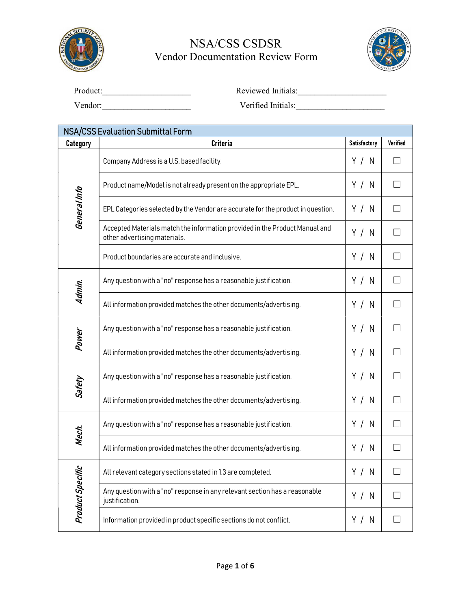



| Product: | Reviewed Initials: |
|----------|--------------------|
| Vendor:  | Verified Initials: |

| <b>NSA/CSS Evaluation Submittal Form</b> |                                                                                                             |              |          |
|------------------------------------------|-------------------------------------------------------------------------------------------------------------|--------------|----------|
| <b>Category</b>                          | <b>Criteria</b>                                                                                             | Satisfactory | Verified |
|                                          | Company Address is a U.S. based facility.                                                                   | Y / N        |          |
|                                          | Product name/Model is not already present on the appropriate EPL.                                           | Y / N        |          |
| General Info                             | EPL Categories selected by the Vendor are accurate for the product in question.                             | Y / N        |          |
|                                          | Accepted Materials match the information provided in the Product Manual and<br>other advertising materials. | Y / N        |          |
|                                          | Product boundaries are accurate and inclusive.                                                              | Y / N        |          |
| Admin.                                   | Any question with a "no" response has a reasonable justification.                                           | Y / N        |          |
|                                          | All information provided matches the other documents/advertising.                                           | Y / N        |          |
| Power                                    | Any question with a "no" response has a reasonable justification.                                           | Y / N        |          |
|                                          | All information provided matches the other documents/advertising.                                           | Y / N        |          |
| Safety                                   | Any question with a "no" response has a reasonable justification.                                           | Y / N        |          |
|                                          | All information provided matches the other documents/advertising.                                           | Y / N        |          |
| Mech.                                    | Any question with a "no" response has a reasonable justification.                                           | Y / N        |          |
|                                          | All information provided matches the other documents/advertising.                                           | Y / N        |          |
|                                          | All relevant category sections stated in 1.3 are completed.                                                 | Y / N        |          |
| Product Specific                         | Any question with a "no" response in any relevant section has a reasonable<br>justification.                | Y / N        |          |
|                                          | Information provided in product specific sections do not conflict.                                          | Y / N        |          |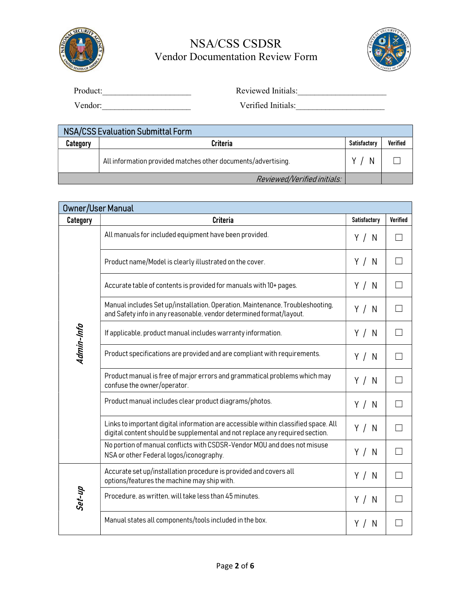



| Product: | Reviewed Initials: |
|----------|--------------------|
| Vendor:  | Verified Initials: |

 NSA/CSS Evaluation Submittal Form  $\textsf{Categorical} \quad | \quad \textsf{V}$ erified All information provided matches other documents/advertising. Y / N ☐ Reviewed/Verified initials:

| <b>Owner/User Manual</b> |                                                                                                                                                                    |                     |                 |
|--------------------------|--------------------------------------------------------------------------------------------------------------------------------------------------------------------|---------------------|-----------------|
| <b>Category</b>          | <b>Criteria</b>                                                                                                                                                    | <b>Satisfactory</b> | <b>Verified</b> |
|                          | All manuals for included equipment have been provided.                                                                                                             | Y / N               |                 |
|                          | Product name/Model is clearly illustrated on the cover.                                                                                                            | Y / N               |                 |
|                          | Accurate table of contents is provided for manuals with 10+ pages.                                                                                                 | Y / N               |                 |
|                          | Manual includes Set up/installation, Operation, Maintenance, Troubleshooting,<br>and Safety info in any reasonable, vendor determined format/layout.               | Y / N               |                 |
| Admin-Info               | If applicable, product manual includes warranty information.                                                                                                       | Y / N               |                 |
|                          | Product specifications are provided and are compliant with requirements.                                                                                           | Y / N               |                 |
|                          | Product manual is free of major errors and grammatical problems which may<br>confuse the owner/operator.                                                           | Y / N               |                 |
|                          | Product manual includes clear product diagrams/photos.                                                                                                             | Y / N               |                 |
|                          | Links to important digital information are accessible within classified space. All<br>digital content should be supplemental and not replace any required section. | Y / N               |                 |
|                          | No portion of manual conflicts with CSDSR-Vendor MOU and does not misuse<br>NSA or other Federal logos/iconography.                                                | Y / N               |                 |
|                          | Accurate set up/installation procedure is provided and covers all<br>options/features the machine may ship with.                                                   | Y / N               |                 |
| Set-up                   | Procedure, as written, will take less than 45 minutes.                                                                                                             | Y / N               |                 |
|                          | Manual states all components/tools included in the box.                                                                                                            | Y /<br>N            |                 |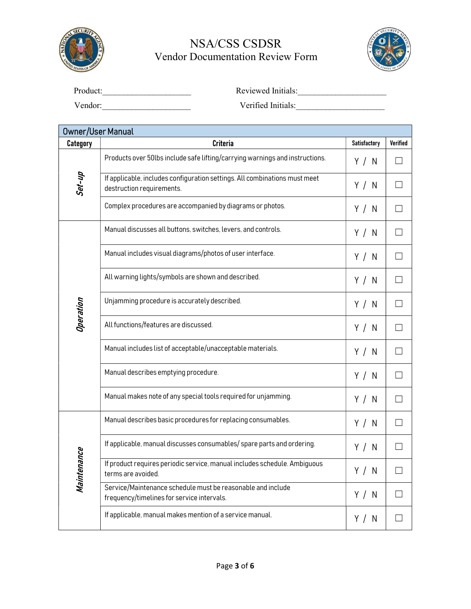



| Product: | Reviewed Initials: |
|----------|--------------------|
| Vendor:  | Verified Initials: |

| <b>Owner/User Manual</b> |                                                                                                           |              |          |
|--------------------------|-----------------------------------------------------------------------------------------------------------|--------------|----------|
| <b>Category</b>          | <b>Criteria</b>                                                                                           | Satisfactory | Verified |
|                          | Products over 50lbs include safe lifting/carrying warnings and instructions.                              | Y / N        |          |
| Set-up                   | If applicable, includes configuration settings. All combinations must meet<br>destruction requirements.   | Y / N        |          |
|                          | Complex procedures are accompanied by diagrams or photos.                                                 | Y / N        |          |
|                          | Manual discusses all buttons, switches, levers, and controls.                                             | Y / N        |          |
|                          | Manual includes visual diagrams/photos of user interface.                                                 | Y / N        | $\Box$   |
|                          | All warning lights/symbols are shown and described.                                                       | Y / N        | $\Box$   |
| Operation                | Unjamming procedure is accurately described.                                                              | Y / N        |          |
|                          | All functions/features are discussed.                                                                     | Y / N        |          |
|                          | Manual includes list of acceptable/unacceptable materials.                                                | Y / N        |          |
|                          | Manual describes emptying procedure.                                                                      | Y / N        |          |
|                          | Manual makes note of any special tools required for unjamming.                                            | Y / N        |          |
|                          | Manual describes basic procedures for replacing consumables.                                              | Y / N        |          |
| Maintenance              | If applicable, manual discusses consumables/spare parts and ordering.                                     | Y / N        |          |
|                          | If product requires periodic service, manual includes schedule. Ambiguous<br>terms are avoided.           | Y / N        | $\Box$   |
|                          | Service/Maintenance schedule must be reasonable and include<br>frequency/timelines for service intervals. | Y / N        |          |
|                          | If applicable, manual makes mention of a service manual.                                                  | Y / N        |          |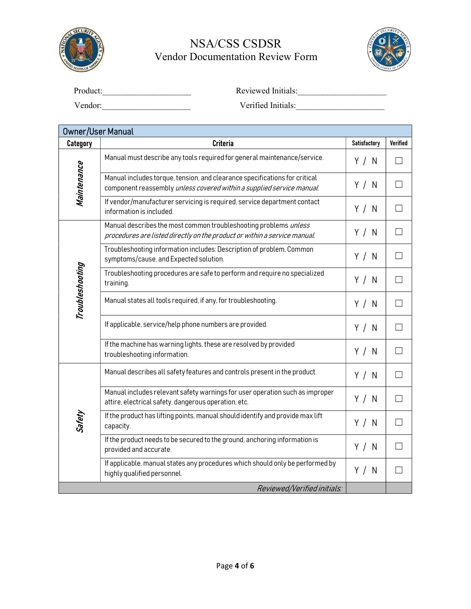



| Product: | Reviewed Initials: |
|----------|--------------------|
| Vendor:  | Verified Initials: |

| <b>Owner/User Manual</b> |                                                                                                                                                     |                     |                 |
|--------------------------|-----------------------------------------------------------------------------------------------------------------------------------------------------|---------------------|-----------------|
| <b>Category</b>          | <b>Criteria</b>                                                                                                                                     | <b>Satisfactory</b> | <b>Verified</b> |
|                          | Manual must describe any tools required for general maintenance/service.                                                                            | Y / N               |                 |
| Maintenance              | Manual includes torque, tension, and clearance specifications for critical<br>component reassembly unless covered within a supplied service manual. | Y / N               |                 |
|                          | If vendor/manufacturer servicing is required, service department contact<br>information is included.                                                | Y / N               |                 |
|                          | Manual describes the most common troubleshooting problems unless<br>procedures are listed directly on the product or within a service manual.       | Y / N               | $\Box$          |
|                          | Troubleshooting information includes: Description of problem, Common<br>symptoms/cause, and Expected solution.                                      | Y / N               |                 |
| Troubleshooting          | Troubleshooting procedures are safe to perform and require no specialized<br>training.                                                              | Y / N               | $\Box$          |
|                          | Manual states all tools required, if any, for troubleshooting.                                                                                      | Y / N               |                 |
|                          | If applicable, service/help phone numbers are provided.                                                                                             | Y / N               |                 |
|                          | If the machine has warning lights, these are resolved by provided<br>troubleshooting information.                                                   | Y / N               | П               |
|                          | Manual describes all safety features and controls present in the product.                                                                           | Y / N               |                 |
|                          | Manual includes relevant safety warnings for user operation such as improper<br>attire, electrical safety, dangerous operation, etc.                | Y / N               | $\Box$          |
| Safety                   | If the product has lifting points, manual should identify and provide max lift<br>capacity.                                                         | Y / N               | <b>Talent</b>   |
|                          | If the product needs to be secured to the ground, anchoring information is<br>provided and accurate.                                                | Y / N               |                 |
|                          | If applicable, manual states any procedures which should only be performed by<br>highly qualified personnel.                                        | Y / N               |                 |
|                          | Reviewed/Verified initials:                                                                                                                         |                     |                 |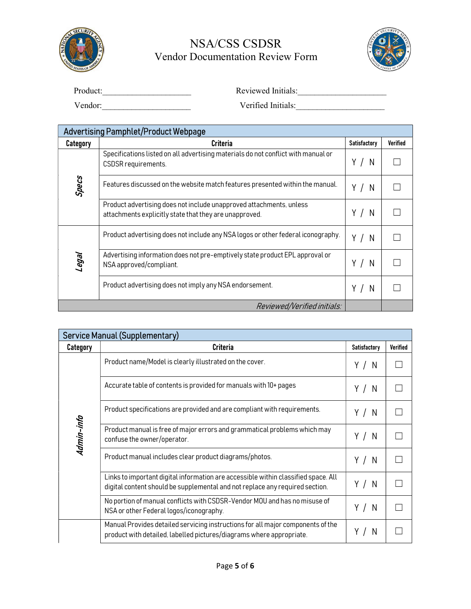



| Product: | Reviewed Initials: |
|----------|--------------------|
| Vendor:  | Verified Initials: |

| <b>Advertising Pamphlet/Product Webpage</b> |                                                                                                                               |                     |                 |
|---------------------------------------------|-------------------------------------------------------------------------------------------------------------------------------|---------------------|-----------------|
| <b>Category</b>                             | <b>Criteria</b>                                                                                                               | <b>Satisfactory</b> | <b>Verified</b> |
|                                             | Specifications listed on all advertising materials do not conflict with manual or<br>CSDSR requirements.                      | Y<br>N              |                 |
| Specs                                       | Features discussed on the website match features presented within the manual.                                                 | N                   |                 |
|                                             | Product advertising does not include unapproved attachments, unless<br>attachments explicitly state that they are unapproved. | Y<br>N              |                 |
|                                             | Product advertising does not include any NSA logos or other federal iconography.                                              | Y<br>N              |                 |
| legal                                       | Advertising information does not pre-emptively state product EPL approval or<br>NSA approved/compliant.                       | Υ<br>N              |                 |
|                                             | Product advertising does not imply any NSA endorsement.                                                                       | Y<br>N              |                 |
|                                             | Reviewed/Verified initials:                                                                                                   |                     |                 |

| <b>Service Manual (Supplementary)</b> |                                                                                                                                                                    |              |                 |
|---------------------------------------|--------------------------------------------------------------------------------------------------------------------------------------------------------------------|--------------|-----------------|
| Category                              | <b>Criteria</b>                                                                                                                                                    | Satisfactory | <b>Verified</b> |
|                                       | Product name/Model is clearly illustrated on the cover.                                                                                                            | Y/N          |                 |
|                                       | Accurate table of contents is provided for manuals with 10+ pages                                                                                                  | Y/N          |                 |
|                                       | Product specifications are provided and are compliant with requirements.                                                                                           | Y / N        |                 |
| Admin-info                            | Product manual is free of major errors and grammatical problems which may<br>confuse the owner/operator.                                                           | Y/N          |                 |
|                                       | Product manual includes clear product diagrams/photos.                                                                                                             | Y/N          |                 |
|                                       | Links to important digital information are accessible within classified space. All<br>digital content should be supplemental and not replace any required section. | Y/N          |                 |
|                                       | No portion of manual conflicts with CSDSR-Vendor MOU and has no misuse of<br>NSA or other Federal logos/iconography.                                               | Y /<br>N     |                 |
|                                       | Manual Provides detailed servicing instructions for all major components of the<br>product with detailed, labelled pictures/diagrams where appropriate.            | N            |                 |